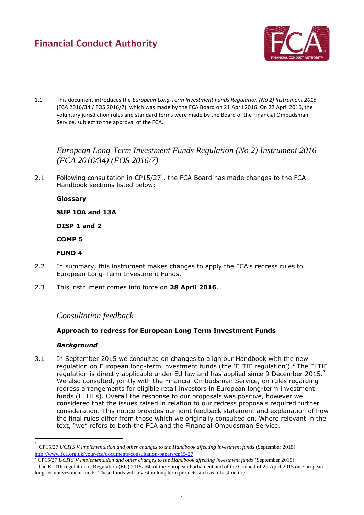# **Financial Conduct Authority**



1.1 This document introduces the *European Long-Term Investment Funds Regulation (No 2) Instrument 2016* (FCA 2016/34 / FOS 2016/7), which was made by the FCA Board on 21 April 2016. On 27 April 2016, the voluntary jurisdiction rules and standard terms were made by the Board of the Financial Ombudsman Service, subject to the approval of the FCA.

*European Long-Term Investment Funds Regulation (No 2) Instrument 2016 (FCA 2016/34) (FOS 2016/7)*

2.1 Following consultation in  $CP15/27<sup>1</sup>$ , the FCA Board has made changes to the FCA Handbook sections listed below:

### **Glossary**

**SUP 10A and 13A**

**DISP 1 and 2**

**COMP 5**

### **FUND 4**

- 2.2 In summary, this instrument makes changes to apply the FCA's redress rules to European Long-Term Investment Funds.
- 2.3 This instrument comes into force on **28 April 2016**.

## *Consultation feedback*

## **Approach to redress for European Long Term Investment Funds**

#### *Background*

 $\overline{a}$ 

3.1 In September 2015 we consulted on changes to align our Handbook with the new regulation on European long-term investment funds (the 'ELTIF regulation').<sup>2</sup> The ELTIF regulation is directly applicable under EU law and has applied since 9 December 2015. $^3$ We also consulted, jointly with the Financial Ombudsman Service, on rules regarding redress arrangements for eligible retail investors in European long-term investment funds (ELTIFs). Overall the response to our proposals was positive, however we considered that the issues raised in relation to our redress proposals required further consideration. This notice provides our joint feedback statement and explanation of how the final rules differ from those which we originally consulted on. Where relevant in the text, "we" refers to both the FCA and the Financial Ombudsman Service.

<sup>1</sup> CP15/27 *UCITS V implementation and other changes to the Handbook affecting investment funds* (September 2015) <http://www.fca.org.uk/your-fca/documents/consultation-papers/cp15-27>

<sup>2</sup> CP15/27 *UCITS V implementation and other changes to the Handbook affecting investment funds* (September 2015)

<sup>&</sup>lt;sup>3</sup> The ELTIF regulation is Regulation (EU) 2015/760 of the European Parliament and of the Council of 29 April 2015 on European long-term investment funds. These funds will invest in long term projects such as infrastructure.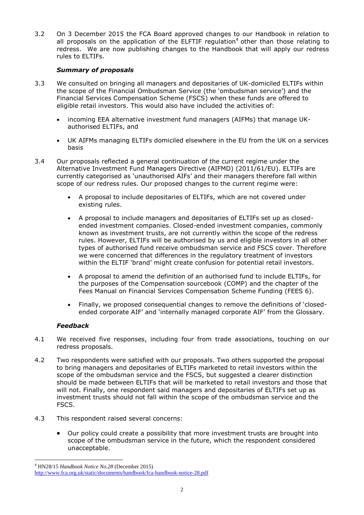3.2 On 3 December 2015 the FCA Board approved changes to our Handbook in relation to all proposals on the application of the ELFTIF regulation<sup>4</sup> other than those relating to redress. We are now publishing changes to the Handbook that will apply our redress rules to ELTIFs.

## *Summary of proposals*

- 3.3 We consulted on bringing all managers and depositaries of UK-domiciled ELTIFs within the scope of the Financial Ombudsman Service (the 'ombudsman service') and the Financial Services Compensation Scheme (FSCS) when these funds are offered to eligible retail investors. This would also have included the activities of:
	- incoming EEA alternative investment fund managers (AIFMs) that manage UKauthorised ELTIFs, and
	- UK AIFMs managing ELTIFs domiciled elsewhere in the EU from the UK on a services basis
- 3.4 Our proposals reflected a general continuation of the current regime under the Alternative Investment Fund Managers Directive (AIFMD) (2011/61/EU). ELTIFs are currently categorised as 'unauthorised AIFs' and their managers therefore fall within scope of our redress rules. Our proposed changes to the current regime were:
	- A proposal to include depositaries of ELTIFs, which are not covered under existing rules.
	- A proposal to include managers and depositaries of ELTIFs set up as closedended investment companies. Closed-ended investment companies, commonly known as investment trusts, are not currently within the scope of the redress rules. However, ELTIFs will be authorised by us and eligible investors in all other types of authorised fund receive ombudsman service and FSCS cover. Therefore we were concerned that differences in the regulatory treatment of investors within the ELTIF 'brand' might create confusion for potential retail investors.
	- A proposal to amend the definition of an authorised fund to include ELTIFs, for the purposes of the Compensation sourcebook (COMP) and the chapter of the Fees Manual on Financial Services Compensation Scheme Funding (FEES 6).
	- Finally, we proposed consequential changes to remove the definitions of 'closedended corporate AIF' and 'internally managed corporate AIF' from the Glossary.

## *Feedback*

- 4.1 We received five responses, including four from trade associations, touching on our redress proposals.
- 4.2 Two respondents were satisfied with our proposals. Two others supported the proposal to bring managers and depositaries of ELTIFs marketed to retail investors within the scope of the ombudsman service and the FSCS, but suggested a clearer distinction should be made between ELTIFs that will be marketed to retail investors and those that will not. Finally, one respondent said managers and depositaries of ELTIFs set up as investment trusts should not fall within the scope of the ombudsman service and the FSCS.
- 4.3 This respondent raised several concerns:
	- Our policy could create a possibility that more investment trusts are brought into scope of the ombudsman service in the future, which the respondent considered unacceptable.

 $\overline{a}$ <sup>4</sup> HN28/15 *Handbook Notice No.28* (December 2015)

<http://www.fca.org.uk/static/documents/handbook/fca-handbook-notice-28.pdf>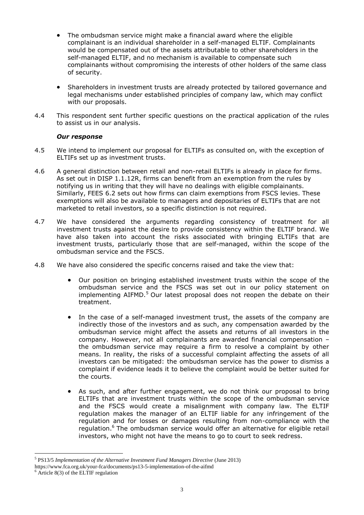- The ombudsman service might make a financial award where the eligible complainant is an individual shareholder in a self-managed ELTIF. Complainants would be compensated out of the assets attributable to other shareholders in the self-managed ELTIF, and no mechanism is available to compensate such complainants without compromising the interests of other holders of the same class of security.
- Shareholders in investment trusts are already protected by tailored governance and legal mechanisms under established principles of company law, which may conflict with our proposals.
- 4.4 This respondent sent further specific questions on the practical application of the rules to assist us in our analysis.

### *Our response*

- 4.5 We intend to implement our proposal for ELTIFs as consulted on, with the exception of ELTIFs set up as investment trusts.
- 4.6 A general distinction between retail and non-retail ELTIFs is already in place for firms. As set out in DISP 1.1.12R, firms can benefit from an exemption from the rules by notifying us in writing that they will have no dealings with eligible complainants. Similarly, FEES 6.2 sets out how firms can claim exemptions from FSCS levies. These exemptions will also be available to managers and depositaries of ELTIFs that are not marketed to retail investors, so a specific distinction is not required.
- 4.7 We have considered the arguments regarding consistency of treatment for all investment trusts against the desire to provide consistency within the ELTIF brand. We have also taken into account the risks associated with bringing ELTIFs that are investment trusts, particularly those that are self-managed, within the scope of the ombudsman service and the FSCS.
- 4.8 We have also considered the specific concerns raised and take the view that:
	- Our position on bringing established investment trusts within the scope of the ombudsman service and the FSCS was set out in our policy statement on implementing AIFMD.<sup>5</sup> Our latest proposal does not reopen the debate on their treatment.
	- In the case of a self-managed investment trust, the assets of the company are indirectly those of the investors and as such, any compensation awarded by the ombudsman service might affect the assets and returns of all investors in the company. However, not all complainants are awarded financial compensation – the ombudsman service may require a firm to resolve a complaint by other means. In reality, the risks of a successful complaint affecting the assets of all investors can be mitigated: the ombudsman service has the power to dismiss a complaint if evidence leads it to believe the complaint would be better suited for the courts.
	- As such, and after further engagement, we do not think our proposal to bring ELTIFs that are investment trusts within the scope of the ombudsman service and the FSCS would create a misalignment with company law. The ELTIF regulation makes the manager of an ELTIF liable for any infringement of the regulation and for losses or damages resulting from non-compliance with the regulation.<sup>6</sup> The ombudsman service would offer an alternative for eligible retail investors, who might not have the means to go to court to seek redress.

 $\overline{a}$ 5 PS13/5 *Implementation of the Alternative Investment Fund Managers Directive* (June 2013)

https://www.fca.org.uk/your-fca/documents/ps13-5-implementation-of-the-aifmd

 $6$  Article 8(3) of the ELTIF regulation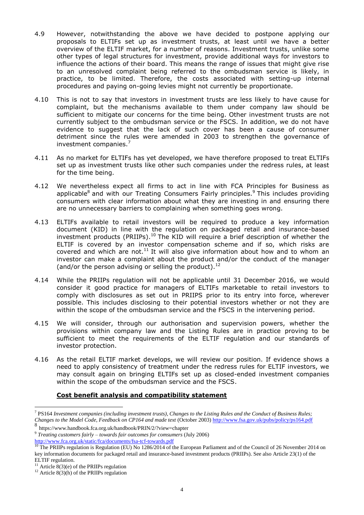- 4.9 However, notwithstanding the above we have decided to postpone applying our proposals to ELTIFs set up as investment trusts, at least until we have a better overview of the ELTIF market, for a number of reasons. Investment trusts, unlike some other types of legal structures for investment, provide additional ways for investors to influence the actions of their board. This means the range of issues that might give rise to an unresolved complaint being referred to the ombudsman service is likely, in practice, to be limited. Therefore, the costs associated with setting-up internal procedures and paying on-going levies might not currently be proportionate.
- 4.10 This is not to say that investors in investment trusts are less likely to have cause for complaint, but the mechanisms available to them under company law should be sufficient to mitigate our concerns for the time being. Other investment trusts are not currently subject to the ombudsman service or the FSCS. In addition, we do not have evidence to suggest that the lack of such cover has been a cause of consumer detriment since the rules were amended in 2003 to strengthen the governance of investment companies.<sup>7</sup>
- 4.11 As no market for ELTIFs has yet developed, we have therefore proposed to treat ELTIFs set up as investment trusts like other such companies under the redress rules, at least for the time being.
- 4.12 We nevertheless expect all firms to act in line with FCA Principles for Business as applicable<sup>8</sup> and with our Treating Consumers Fairly principles.<sup>9</sup> This includes providing consumers with clear information about what they are investing in and ensuring there are no unnecessary barriers to complaining when something goes wrong.
- 4.13 ELTIFs available to retail investors will be required to produce a key information document (KID) in line with the regulation on packaged retail and insurance-based investment products (PRIIPs).<sup>10</sup> The KID will require a brief description of whether the ELTIF is covered by an investor compensation scheme and if so, which risks are covered and which are not.<sup>11</sup> It will also give information about how and to whom an investor can make a complaint about the product and/or the conduct of the manager (and/or the person advising or selling the product).<sup>12</sup>
- 4.14 While the PRIIPs regulation will not be applicable until 31 December 2016, we would consider it good practice for managers of ELTIFs marketable to retail investors to comply with disclosures as set out in PRIIPS prior to its entry into force, wherever possible. This includes disclosing to their potential investors whether or not they are within the scope of the ombudsman service and the FSCS in the intervening period.
- 4.15 We will consider, through our authorisation and supervision powers, whether the provisions within company law and the Listing Rules are in practice proving to be sufficient to meet the requirements of the ELTIF regulation and our standards of investor protection.
- 4.16 As the retail ELTIF market develops, we will review our position. If evidence shows a need to apply consistency of treatment under the redress rules for ELTIF investors, we may consult again on bringing ELTIFs set up as closed-ended investment companies within the scope of the ombudsman service and the FSCS.

## **Cost benefit analysis and compatibility statement**

<http://www.fca.org.uk/static/fca/documents/fsa-tcf-towards.pdf>

 $\overline{a}$ 

<sup>7</sup> PS164 *Investment companies (including investment trusts), Changes to the Listing Rules and the Conduct of Business Rules; Changes to the Model Code, Feedback on CP164 and made text* (October 2003[\) http://www.fsa.gov.uk/pubs/policy/ps164.pdf](http://www.fsa.gov.uk/pubs/policy/ps164.pdf)

<sup>8</sup> https://www.handbook.fca.org.uk/handbook/PRIN/2/?view=chapter

<sup>9</sup> *Treating customers fairly – towards fair outcomes for comsumers* (July 2006)

<sup>&</sup>lt;sup>10</sup> The PRIIPs regulation is Regulation (EU) No 1286/2014 of the European Parliament and of the Council of 26 November 2014 on key information documents for packaged retail and insurance-based investment products (PRIIPs). See also Article 23(1) of the ELTIF regulation.

<sup>&</sup>lt;sup>11</sup> Article  $8(3)(e)$  of the PRIIPs regulation

<sup>&</sup>lt;sup>12</sup> Article 8(3)(h) of the PRIIPs regulation